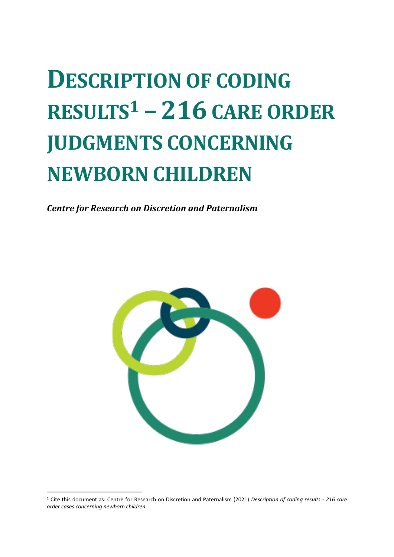# **DESCRIPTION OF CODING RESULTS<sup>1</sup> – 216 CARE ORDER JUDGMENTS CONCERNING NEWBORN CHILDREN**

*Centre for Research on Discretion and Paternalism*



<sup>1</sup> Cite this document as: Centre for Research on Discretion and Paternalism (2021) *Description of coding results - 216 care order cases concerning newborn children.*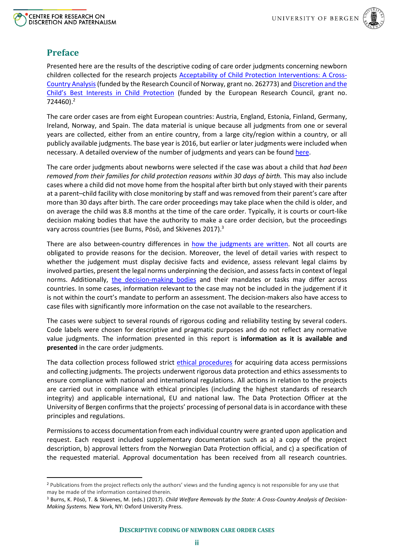



# **Preface**

Presented here are the results of the descriptive coding of care order judgments concerning newborn children collected for the research projects [Acceptability of Child Protection Interventions: A Cross-](https://discretion.uib.no/projects/the-acceptability-of-child-protection-interventions-a-cross-country-analysis/)[Country Analysis\(](https://discretion.uib.no/projects/the-acceptability-of-child-protection-interventions-a-cross-country-analysis/)funded by the Research Council of Norway, grant no. 262773) and [Discretion and the](https://discretion.uib.no/projects/discretion-and-the-childs-best-interest-in-child-protection/)  [Child's Best Interests in Child Protection](https://discretion.uib.no/projects/discretion-and-the-childs-best-interest-in-child-protection/) (funded by the European Research Council, grant no. 724460). 2

The care order cases are from eight European countries: Austria, England, Estonia, Finland, Germany, Ireland, Norway, and Spain. The data material is unique because all judgments from one or several years are collected, either from an entire country, from a large city/region within a country, or all publicly available judgments. The base year is 2016, but earlier or later judgments were included when necessary. A detailed overview of the number of judgments and years can be foun[d here.](https://discretion.uib.no/projects/supplementary-documentation/newborn-judgements/#1571902125462-195ca860-ca9d)

The care order judgments about newborns were selected if the case was about a child that *had been removed from their families for child protection reasons within 30 days of birth.* This may also include cases where a child did not move home from the hospital after birth but only stayed with their parents at a parent–child facility with close monitoring by staff and was removed from their parent's care after more than 30 days after birth. The care order proceedings may take place when the child is older, and on average the child was 8.8 months at the time of the care order. Typically, it is courts or court-like decision making bodies that have the authority to make a care order decision, but the proceedings vary across countries (see Burns, Pösö, and Skivenes 2017).<sup>3</sup>

There are also between-country differences in [how the judgments are written.](https://discretion.uib.no/resources/requirements-for-judgments-in-care-order-decisions-in-8-countries/#1588242680256-00a159db-e96f) Not all courts are obligated to provide reasons for the decision. Moreover, the level of detail varies with respect to whether the judgement must display decisive facts and evidence, assess relevant legal claims by involved parties, present the legal norms underpinning the decision, and assess facts in context of legal norms. Additionally, [the decision-making bodies](https://discretion.uib.no/resources/legal-frame-newborn/) and their mandates or tasks may differ across countries. In some cases, information relevant to the case may not be included in the judgement if it is not within the court's mandate to perform an assessment. The decision-makers also have access to case files with significantly more information on the case not available to the researchers.

The cases were subject to several rounds of rigorous coding and reliability testing by several coders. Code labels were chosen for descriptive and pragmatic purposes and do not reflect any normative value judgments. The information presented in this report is **information as it is available and presented** in the care order judgments.

The data collection process followed strict ethical [procedures](https://www.discretion.uib.no/wp-content/uploads/2019/12/INFORMATION-ABOUT-DATA-PROTECTION-ETHICS-AND-DATA-ACCESS.pdf) for acquiring data access permissions and collecting judgments. The projects underwent rigorous data protection and ethics assessments to ensure compliance with national and international regulations. All actions in relation to the projects are carried out in compliance with ethical principles (including the highest standards of research integrity) and applicable international, EU and national law. The Data Protection Officer at the University of Bergen confirms that the projects' processing of personal data is in accordance with these principles and regulations.

Permissions to access documentation from each individual country were granted upon application and request. Each request included supplementary documentation such as a) a copy of the project description, b) approval letters from the Norwegian Data Protection official, and c) a specification of the requested material. Approval documentation has been received from all research countries.

<sup>&</sup>lt;sup>2</sup> Publications from the project reflects only the authors' views and the funding agency is not responsible for any use that may be made of the information contained therein.

<sup>3</sup> Burns, K. Pösö, T. & Skivenes, M. (eds.) (2017). *Child Welfare Removals by the State: A Cross-Country Analysis of Decision-Making Systems.* New York, NY: Oxford University Press.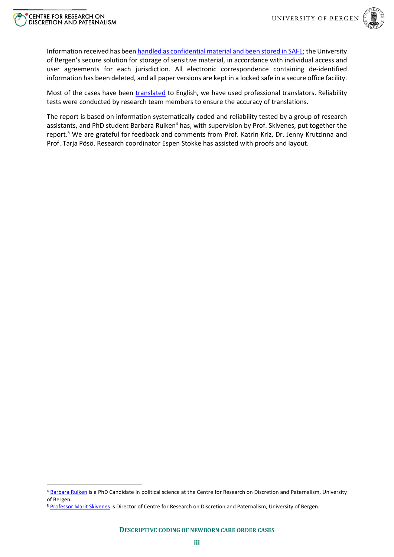



Information received has been [handled as confidential material and been](https://discretion.uib.no/wp-content/uploads/2019/12/SAFE-STORAGE-OF-CHILD-PROTECTION-JUDGEMENTS-.pdf) stored in SAFE; the University of Bergen's secure solution for storage of sensitive material, in accordance with individual access and user agreements for each jurisdiction. All electronic correspondence containing de-identified information has been deleted, and all paper versions are kept in a locked safe in a secure office facility.

Most of the cases have been [translated](https://www.discretion.uib.no/wp-content/uploads/2019/10/Translation-process_short-description.pdf) to English, we have used professional translators. Reliability tests were conducted by research team members to ensure the accuracy of translations.

The report is based on information systematically coded and reliability tested by a group of research assistants, and PhD student Barbara Ruiken<sup>4</sup> has, with supervision by Prof. Skivenes, put together the report. <sup>5</sup> We are grateful for feedback and comments from Prof. Katrin Kriz, Dr. Jenny Krutzinna and Prof. Tarja Pösö. Research coordinator Espen Stokke has assisted with proofs and layout.

<sup>4</sup> [Barbara Ruiken](https://discretion.uib.no/people/staff/barbara-ruiken/) is a PhD Candidate in political science at the Centre for Research on Discretion and Paternalism, University of Bergen.

<sup>5</sup> [Professor Marit Skivenes](https://discretion.uib.no/people/principal-investigator/) is Director of Centre for Research on Discretion and Paternalism, University of Bergen.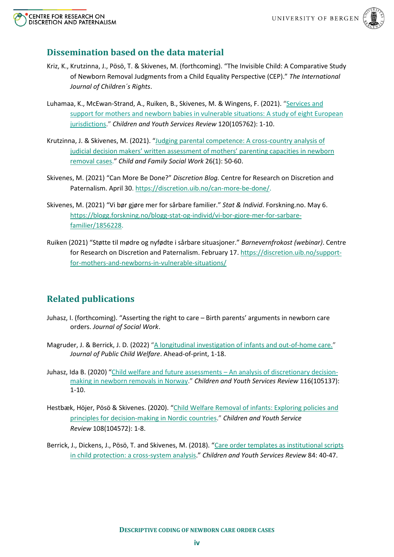



# **Dissemination based on the data material**

- Kriz, K., Krutzinna, J., Pösö, T. & Skivenes, M. (forthcoming). "The Invisible Child: A Comparative Study of Newborn Removal Judgments from a Child Equality Perspective (CEP)." *The International Journal of Children´s Rights*.
- Luhamaa, K., McEwan-Strand, A., Ruiken, B., Skivenes, M. & Wingens, F. (2021). "[Services and](https://doi.org/10.1016/j.childyouth.2020.105762)  [support for mothers and newborn babies in vulnerable situations: A study of eight European](https://doi.org/10.1016/j.childyouth.2020.105762)  [jurisdictions.](https://doi.org/10.1016/j.childyouth.2020.105762)" *Children and Youth Services Review* 120(105762): 1-10.
- Krutzinna, J. & Skivenes, M. (2021). "[Judging parental competence: A cross-country analysis of](https://onlinelibrary.wiley.com/doi/10.1111/cfs.12788)  [judicial decision makers' written assessment of mothers' parenting capacities in newborn](https://onlinelibrary.wiley.com/doi/10.1111/cfs.12788)  [removal cases.](https://onlinelibrary.wiley.com/doi/10.1111/cfs.12788)" *Child and Family Social Work* 26(1): 50-60.
- Skivenes, M. (2021) "Can More Be Done?" *Discretion Blog.* Centre for Research on Discretion and Paternalism. April 30. [https://discretion.uib.no/can-more-be-done/.](https://discretion.uib.no/can-more-be-done/)
- Skivenes, M. (2021) "Vi bør gjøre mer for sårbare familier." *Stat & Individ*. Forskning.no. May 6. [https://blogg.forskning.no/blogg-stat-og-individ/vi-bor-gjore-mer-for-sarbare](https://blogg.forskning.no/blogg-stat-og-individ/vi-bor-gjore-mer-for-sarbare-familier/1856228)[familier/1856228.](https://blogg.forskning.no/blogg-stat-og-individ/vi-bor-gjore-mer-for-sarbare-familier/1856228)
- Ruiken (2021) "Støtte til mødre og nyfødte i sårbare situasjoner." *Barnevernfrokost (webinar)*. Centre for Research on Discretion and Paternalism. February 17. [https://discretion.uib.no/support](https://discretion.uib.no/support-for-mothers-and-newborns-in-vulnerable-situations/)[for-mothers-and-newborns-in-vulnerable-situations/](https://discretion.uib.no/support-for-mothers-and-newborns-in-vulnerable-situations/)

# **Related publications**

- Juhasz, I. (forthcoming). "Asserting the right to care Birth parents' arguments in newborn care orders. *Journal of Social Work*.
- Magruder, J. & Berrick, J. D. (2022) "A [longitudinal investigation of infants and out-of-home care.](https://www.tandfonline.com/doi/full/10.1080/15548732.2022.2036294?scroll=top&needAccess=true)" *Journal of Public Child Welfare*. Ahead-of-print, 1-18.
- Juhasz, Ida B. (2020) "[Child welfare and future assessments](https://doi.org/10.1016/j.childyouth.2020.105137)  An analysis of discretionary decision[making in newborn removals in Norway.](https://doi.org/10.1016/j.childyouth.2020.105137)" *Children and Youth Services Review* 116(105137): 1-10.
- Hestbæk, Höjer, Pösö & Skivenes. (2020). "[Child Welfare Removal of infants: Exploring policies and](https://www.sciencedirect.com/science/article/pii/S019074091930670X)  [principles for decision-making in Nordic countries.](https://www.sciencedirect.com/science/article/pii/S019074091930670X)" *Children and Youth Service Review* 108(104572): 1-8.
- Berrick, J., Dickens, J., Pösö, T. and Skivenes, M. (2018). "[Care order templates as institutional scripts](https://escholarship.org/uc/item/6bx977j5)  [in child protection: a cross-system analysis.](https://escholarship.org/uc/item/6bx977j5)" *Children and Youth Services Review* 84: 40-47.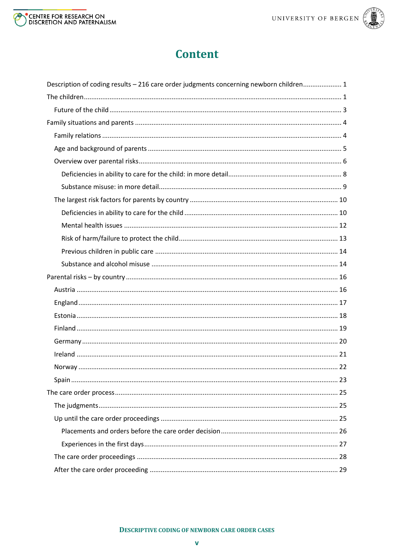



# **Content**

| Description of coding results - 216 care order judgments concerning newborn children 1 |
|----------------------------------------------------------------------------------------|
|                                                                                        |
|                                                                                        |
|                                                                                        |
|                                                                                        |
|                                                                                        |
|                                                                                        |
|                                                                                        |
|                                                                                        |
|                                                                                        |
|                                                                                        |
|                                                                                        |
|                                                                                        |
|                                                                                        |
|                                                                                        |
|                                                                                        |
|                                                                                        |
|                                                                                        |
|                                                                                        |
|                                                                                        |
|                                                                                        |
|                                                                                        |
|                                                                                        |
|                                                                                        |
|                                                                                        |
|                                                                                        |
|                                                                                        |
|                                                                                        |
|                                                                                        |
|                                                                                        |
|                                                                                        |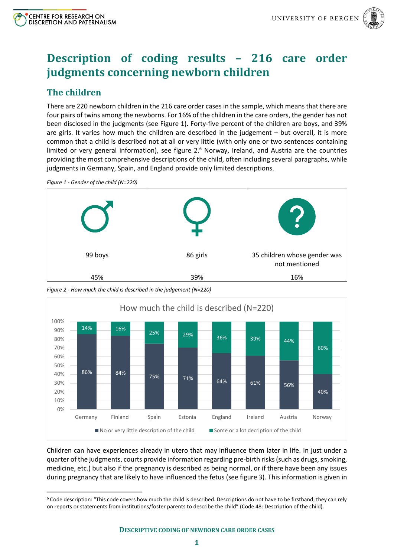

# <span id="page-5-0"></span>**Description of coding results – 216 care order judgments concerning newborn children**

# <span id="page-5-1"></span>**The children**

There are 220 newborn children in the 216 care order cases in the sample, which means that there are four pairs of twins among the newborns. For 16% of the children in the care orders, the gender has not been disclosed in the judgments (see Figure 1). Forty-five percent of the children are boys, and 39% are girls. It varies how much the children are described in the judgement – but overall, it is more common that a child is described not at all or very little (with only one or two sentences containing limited or very general information), see [figure 2.](#page-5-2)<sup>6</sup> Norway, Ireland, and Austria are the countries providing the most comprehensive descriptions of the child, often including several paragraphs, while judgments in Germany, Spain, and England provide only limited descriptions.

99 boys 86 girls 35 children whose gender was not mentioned 45% 39% 16%

*Figure 1 - Gender of the child (N=220)*

<span id="page-5-2"></span>



Children can have experiences already in utero that may influence them later in life. In just under a quarter of the judgments, courts provide information regarding pre-birth risks(such as drugs, smoking, medicine, etc.) but also if the pregnancy is described as being normal, or if there have been any issues during pregnancy that are likely to have influenced the fetus (se[e figure 3\)](#page-6-0). This information is given in

<sup>6</sup> Code description: "This code covers how much the child is described. Descriptions do not have to be firsthand; they can rely on reports or statements from institutions/foster parents to describe the child" (Code 48: Description of the child).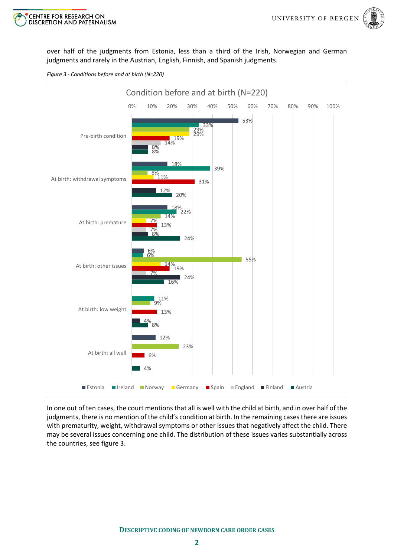



over half of the judgments from Estonia, less than a third of the Irish, Norwegian and German judgments and rarely in the Austrian, English, Finnish, and Spanish judgments.

<span id="page-6-0"></span>



In one out of ten cases, the court mentions that all is well with the child at birth, and in over half of the judgments, there is no mention of the child's condition at birth. In the remaining cases there are issues with prematurity, weight, withdrawal symptoms or other issues that negatively affect the child. There may be several issues concerning one child. The distribution of these issues varies substantially across the countries, see [figure 3.](#page-6-0)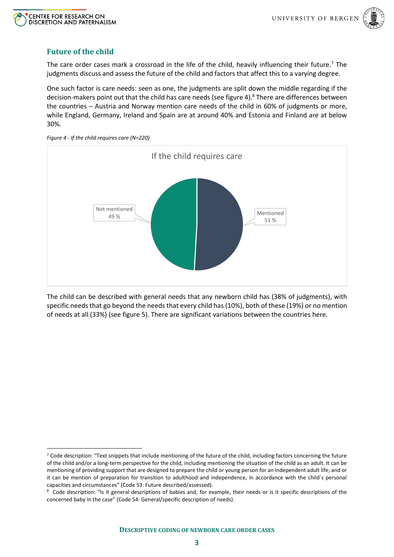



# <span id="page-7-0"></span>**Future of the child**

The care order cases mark a crossroad in the life of the child, heavily influencing their future.<sup>7</sup> The judgments discuss and assess the future of the child and factors that affect this to a varying degree.

One such factor is care needs: seen as one, the judgments are split down the middle regarding if the decision-makers point out that the child has care needs (see [figure 4\)](#page-7-1). <sup>8</sup> There are differences between the countries – Austria and Norway mention care needs of the child in 60% of judgments or more, while England, Germany, Ireland and Spain are at around 40% and Estonia and Finland are at below 30%.



<span id="page-7-1"></span>*Figure 4 - If the child requires care (N=220)*

The child can be described with general needs that any newborn child has (38% of judgments), with specific needs that go beyond the needs that every child has (10%), both of these (19%) or no mention of needs at all (33%) (see [figure 5\)](#page-8-2). There are significant variations between the countries here.

<sup>7</sup> Code description: "Text snippets that include mentioning of the future of the child, including factors concerning the future of the child and/or a long-term perspective for the child, including mentioning the situation of the child as an adult. It can be mentioning of providing support that are designed to prepare the child or young person for an independent adult life; and or it can be mention of preparation for transition to adulthood and independence, in accordance with the child´s personal capacities and circumstances" (Code 53: Future described/assessed).

<sup>8</sup> Code description: "Is it general descriptions of babies and, for example, their needs or is it specific descriptions of the concerned baby in the case" (Code 54: General/specific description of needs).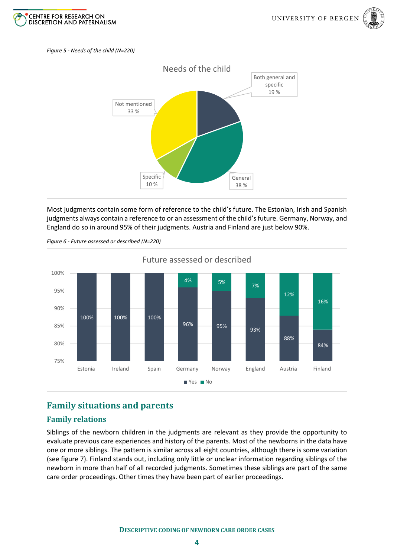



#### <span id="page-8-2"></span>*Figure 5 - Needs of the child (N=220)*



Most judgments contain some form of reference to the child's future. The Estonian, Irish and Spanish judgments always contain a reference to or an assessment of the child's future. Germany, Norway, and England do so in around 95% of their judgments. Austria and Finland are just below 90%.



*Figure 6 - Future assessed or described (N=220)*

# <span id="page-8-0"></span>**Family situations and parents**

#### <span id="page-8-1"></span>**Family relations**

Siblings of the newborn children in the judgments are relevant as they provide the opportunity to evaluate previous care experiences and history of the parents. Most of the newborns in the data have one or more siblings. The pattern is similar across all eight countries, although there is some variation (see [figure 7\)](#page-9-1). Finland stands out, including only little or unclear information regarding siblings of the newborn in more than half of all recorded judgments. Sometimes these siblings are part of the same care order proceedings. Other times they have been part of earlier proceedings.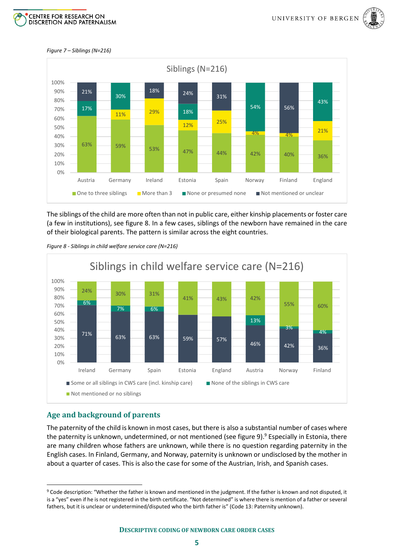



#### <span id="page-9-1"></span>*Figure 7 – Siblings (N=216)*



The siblings of the child are more often than not in public care, either kinship placements or foster care (a few in institutions), see [figure 8.](#page-9-2) In a few cases, siblings of the newborn have remained in the care of their biological parents. The pattern is similar across the eight countries.



<span id="page-9-2"></span>*Figure 8 - Siblings in child welfare service care (N=216)*

#### <span id="page-9-0"></span>**Age and background of parents**

The paternity of the child is known in most cases, but there is also a substantial number of cases where the paternity is unknown, undetermined, or not mentioned (se[e figure 9\)](#page-10-1). <sup>9</sup> Especially in Estonia, there are many children whose fathers are unknown, while there is no question regarding paternity in the English cases. In Finland, Germany, and Norway, paternity is unknown or undisclosed by the mother in about a quarter of cases. This is also the case for some of the Austrian, Irish, and Spanish cases.

<sup>9</sup> Code description: "Whether the father is known and mentioned in the judgment. If the father is known and not disputed, it is a "yes" even if he is not registered in the birth certificate. "Not determined" is where there is mention of a father or several fathers, but it is unclear or undetermined/disputed who the birth father is" (Code 13: Paternity unknown).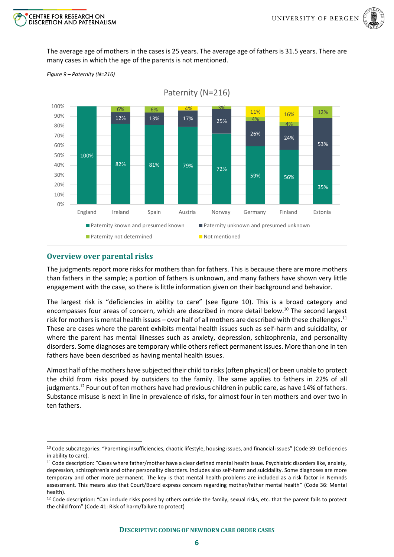

The average age of mothers in the cases is 25 years. The average age of fathers is 31.5 years. There are many cases in which the age of the parents is not mentioned.



<span id="page-10-1"></span>*Figure 9 – Paternity (N=216)*

CENTRE FOR RESEARCH ON

**DISCRETION AND PATERNALISM** 

#### <span id="page-10-0"></span>**Overview over parental risks**

The judgments report more risks for mothers than for fathers. This is because there are more mothers than fathers in the sample; a portion of fathers is unknown, and many fathers have shown very little engagement with the case, so there is little information given on their background and behavior.

The largest risk is "deficiencies in ability to care" (see [figure 10\)](#page-12-1). This is a broad category and encompasses four areas of concern, which are described in more detail below.<sup>10</sup> The second largest risk for mothers is mental health issues – over half of all mothers are described with these challenges. $^{11}$ These are cases where the parent exhibits mental health issues such as self-harm and suicidality, or where the parent has mental illnesses such as anxiety, depression, schizophrenia, and personality disorders. Some diagnoses are temporary while others reflect permanent issues. More than one in ten fathers have been described as having mental health issues.

Almost half of the mothers have subjected their child to risks(often physical) or been unable to protect the child from risks posed by outsiders to the family. The same applies to fathers in 22% of all judgments. <sup>12</sup> Four out of ten mothers have had previous children in public care, as have 14% of fathers. Substance misuse is next in line in prevalence of risks, for almost four in ten mothers and over two in ten fathers.

<sup>10</sup> Code subcategories: "Parenting insufficiencies, chaotic lifestyle, housing issues, and financial issues" (Code 39: Deficiencies in ability to care).

<sup>11</sup> Code description: "Cases where father/mother have a clear defined mental health issue. Psychiatric disorders like, anxiety, depression, schizophrenia and other personality disorders. Includes also self-harm and suicidality. Some diagnoses are more temporary and other more permanent. The key is that mental health problems are included as a risk factor in Nemnds assessment. This means also that Court/Board express concern regarding mother/father mental health" (Code 36: Mental health).

<sup>&</sup>lt;sup>12</sup> Code description: "Can include risks posed by others outside the family, sexual risks, etc. that the parent fails to protect the child from" (Code 41: Risk of harm/failure to protect)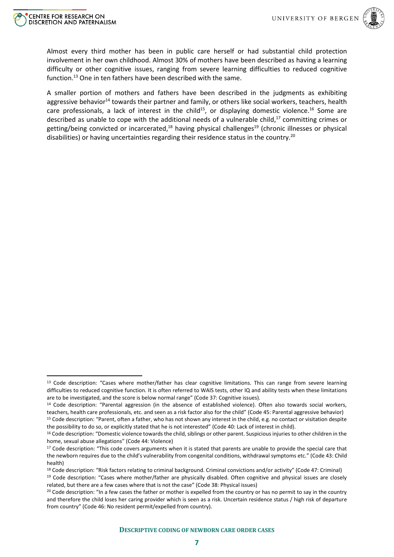

Almost every third mother has been in public care herself or had substantial child protection involvement in her own childhood. Almost 30% of mothers have been described as having a learning difficulty or other cognitive issues, ranging from severe learning difficulties to reduced cognitive function. <sup>13</sup> One in ten fathers have been described with the same.

A smaller portion of mothers and fathers have been described in the judgments as exhibiting aggressive behavior<sup>14</sup> towards their partner and family, or others like social workers, teachers, health care professionals, a lack of interest in the child<sup>15</sup>, or displaying domestic violence.<sup>16</sup> Some are described as unable to cope with the additional needs of a vulnerable child,<sup>17</sup> committing crimes or getting/being convicted or incarcerated,<sup>18</sup> having physical challenges<sup>19</sup> (chronic illnesses or physical disabilities) or having uncertainties regarding their residence status in the country.<sup>20</sup>

<sup>&</sup>lt;sup>13</sup> Code description: "Cases where mother/father has clear cognitive limitations. This can range from severe learning difficulties to reduced cognitive function. It is often referred to WAIS tests, other IQ and ability tests when these limitations are to be investigated, and the score is below normal range" (Code 37: Cognitive issues).

<sup>&</sup>lt;sup>14</sup> Code description: "Parental aggression (in the absence of established violence). Often also towards social workers, teachers, health care professionals, etc. and seen as a risk factor also for the child" (Code 45: Parental aggressive behavior)

<sup>&</sup>lt;sup>15</sup> Code description: "Parent, often a father, who has not shown any interest in the child, e.g. no contact or visitation despite the possibility to do so, or explicitly stated that he is not interested" (Code 40: Lack of interest in child).

<sup>&</sup>lt;sup>16</sup> Code description: "Domestic violence towards the child, siblings or other parent. Suspicious injuries to other children in the home, sexual abuse allegations" (Code 44: Violence)

<sup>&</sup>lt;sup>17</sup> Code description: "This code covers arguments when it is stated that parents are unable to provide the special care that the newborn requires due to the child's vulnerability from congenital conditions, withdrawal symptoms etc." (Code 43: Child health)

<sup>18</sup> Code description: "Risk factors relating to criminal background. Criminal convictions and/or activity" (Code 47: Criminal)

<sup>&</sup>lt;sup>19</sup> Code description: "Cases where mother/father are physically disabled. Often cognitive and physical issues are closely related, but there are a few cases where that is not the case" (Code 38: Physical issues)

<sup>&</sup>lt;sup>20</sup> Code description: "In a few cases the father or mother is expelled from the country or has no permit to say in the country and therefore the child loses her caring provider which is seen as a risk. Uncertain residence status / high risk of departure from country" (Code 46: No resident permit/expelled from country).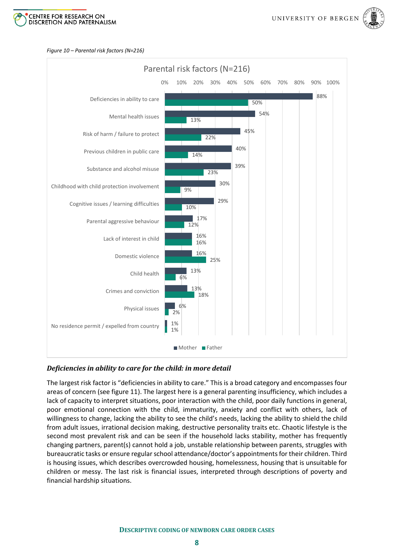



#### <span id="page-12-1"></span>*Figure 10 – Parental risk factors (N=216)*



#### <span id="page-12-0"></span>*Deficiencies in ability to care for the child: in more detail*

The largest risk factor is "deficiencies in ability to care." This is a broad category and encompasses four areas of concern (se[e figure 11\)](#page-13-1). The largest here is a general parenting insufficiency, which includes a lack of capacity to interpret situations, poor interaction with the child, poor daily functions in general, poor emotional connection with the child, immaturity, anxiety and conflict with others, lack of willingness to change, lacking the ability to see the child's needs, lacking the ability to shield the child from adult issues, irrational decision making, destructive personality traits etc. Chaotic lifestyle is the second most prevalent risk and can be seen if the household lacks stability, mother has frequently changing partners, parent(s) cannot hold a job, unstable relationship between parents, struggles with bureaucratic tasks or ensure regular school attendance/doctor's appointments for their children. Third is housing issues, which describes overcrowded housing, homelessness, housing that is unsuitable for children or messy. The last risk is financial issues, interpreted through descriptions of poverty and financial hardship situations.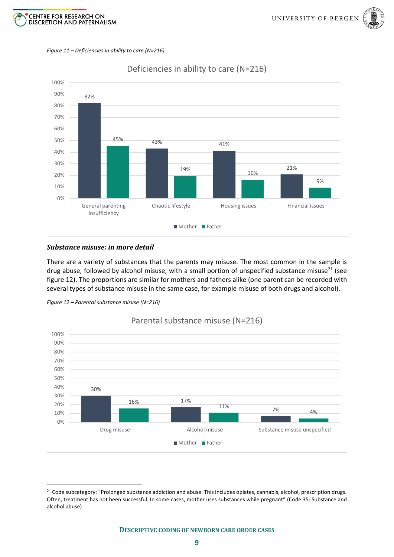



<span id="page-13-1"></span>*Figure 11 – Deficiencies in ability to care (N=216)*



#### <span id="page-13-0"></span>*Substance misuse: in more detail*

There are a variety of substances that the parents may misuse. The most common in the sample is drug abuse, followed by alcohol misuse, with a small portion of unspecified substance misuse<sup>21</sup> (see [figure 12\)](#page-13-2). The proportions are similar for mothers and fathers alike (one parent can be recorded with several types of substance misuse in the same case, for example misuse of both drugs and alcohol).

<span id="page-13-2"></span>



<sup>&</sup>lt;sup>21</sup> Code subcategory: "Prolonged substance addiction and abuse. This includes opiates, cannabis, alcohol, prescription drugs. Often, treatment has not been successful. In some cases, mother uses substances while pregnant" (Code 35: Substance and alcohol abuse)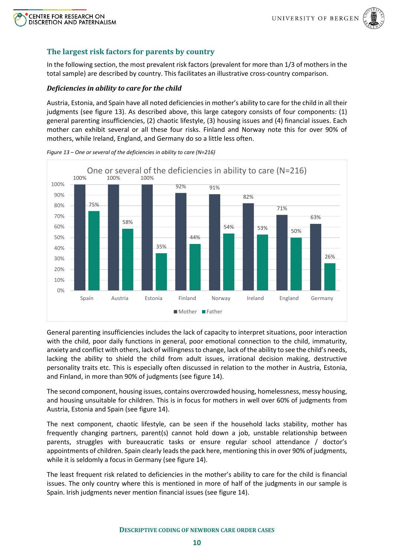



#### <span id="page-14-0"></span>**The largest risk factors for parents by country**

In the following section, the most prevalent risk factors (prevalent for more than 1/3 of mothers in the total sample) are described by country. This facilitates an illustrative cross-country comparison.

#### <span id="page-14-1"></span>*Deficiencies in ability to care for the child*

Austria, Estonia, and Spain have all noted deficiencies in mother's ability to care for the child in all their judgments (see [figure 13\)](#page-14-2). As described above, this large category consists of four components: (1) general parenting insufficiencies, (2) chaotic lifestyle, (3) housing issues and (4) financial issues. Each mother can exhibit several or all these four risks. Finland and Norway note this for over 90% of mothers, while Ireland, England, and Germany do so a little less often.



<span id="page-14-2"></span>*Figure 13 – One or several of the deficiencies in ability to care (N=216)*

General parenting insufficiencies includes the lack of capacity to interpret situations, poor interaction with the child, poor daily functions in general, poor emotional connection to the child, immaturity, anxiety and conflict with others, lack of willingness to change, lack of the ability to see the child's needs, lacking the ability to shield the child from adult issues, irrational decision making, destructive personality traits etc. This is especially often discussed in relation to the mother in Austria, Estonia, and Finland, in more than 90% of judgments (se[e figure 14\)](#page-15-0).

The second component, housing issues, contains overcrowded housing, homelessness, messy housing, and housing unsuitable for children. This is in focus for mothers in well over 60% of judgments from Austria, Estonia and Spain (see [figure 14\)](#page-15-0).

The next component, chaotic lifestyle, can be seen if the household lacks stability, mother has frequently changing partners, parent(s) cannot hold down a job, unstable relationship between parents, struggles with bureaucratic tasks or ensure regular school attendance / doctor's appointments of children. Spain clearly leads the pack here, mentioning this in over 90% of judgments, while it is seldomly a focus in Germany (se[e figure 14\)](#page-15-0).

The least frequent risk related to deficiencies in the mother's ability to care for the child is financial issues. The only country where this is mentioned in more of half of the judgments in our sample is Spain. Irish judgments never mention financial issues (see [figure 14\)](#page-15-0).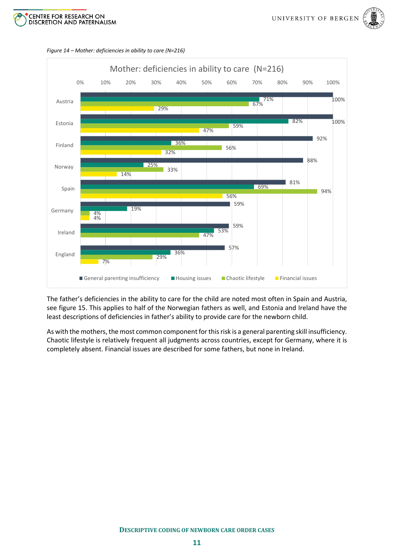





<span id="page-15-0"></span>*Figure 14 – Mother: deficiencies in ability to care (N=216)*

The father's deficiencies in the ability to care for the child are noted most often in Spain and Austria, see [figure 15.](#page-16-1) This applies to half of the Norwegian fathers as well, and Estonia and Ireland have the least descriptions of deficiencies in father's ability to provide care for the newborn child.

As with the mothers, the most common component for this risk is a general parenting skill insufficiency. Chaotic lifestyle is relatively frequent all judgments across countries, except for Germany, where it is completely absent. Financial issues are described for some fathers, but none in Ireland.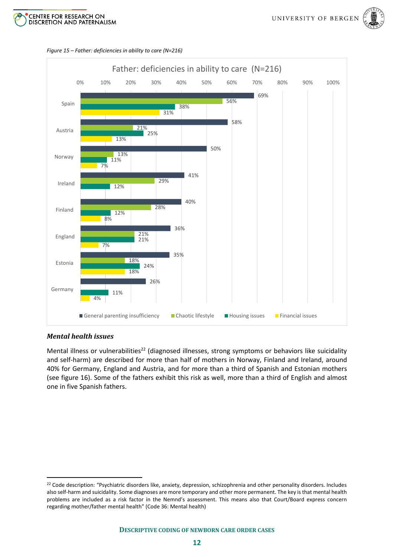





#### <span id="page-16-1"></span>*Figure 15 – Father: deficiencies in ability to care (N=216)*

#### <span id="page-16-0"></span>*Mental health issues*

Mental illness or vulnerabilities<sup>22</sup> (diagnosed illnesses, strong symptoms or behaviors like suicidality and self-harm) are described for more than half of mothers in Norway, Finland and Ireland, around 40% for Germany, England and Austria, and for more than a third of Spanish and Estonian mothers (see [figure 16\)](#page-17-1). Some of the fathers exhibit this risk as well, more than a third of English and almost one in five Spanish fathers.

<sup>&</sup>lt;sup>22</sup> Code description: "Psychiatric disorders like, anxiety, depression, schizophrenia and other personality disorders. Includes also self-harm and suicidality. Some diagnoses are more temporary and other more permanent. The key is that mental health problems are included as a risk factor in the Nemnd's assessment. This means also that Court/Board express concern regarding mother/father mental health" (Code 36: Mental health)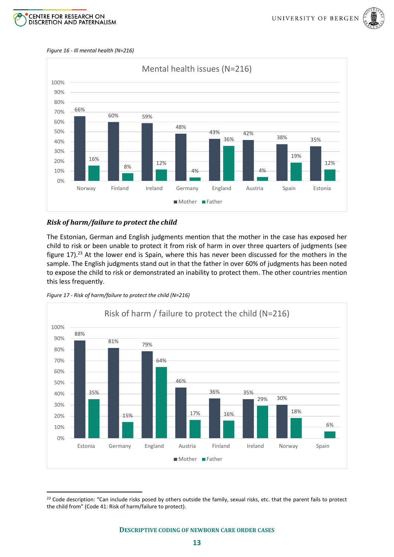



#### <span id="page-17-1"></span>*Figure 16 - Ill mental health (N=216)*



#### <span id="page-17-0"></span>*Risk of harm/failure to protect the child*

The Estonian, German and English judgments mention that the mother in the case has exposed her child to risk or been unable to protect it from risk of harm in over three quarters of judgments (see [figure 17\)](#page-17-2).<sup>23</sup> At the lower end is Spain, where this has never been discussed for the mothers in the sample. The English judgments stand out in that the father in over 60% of judgments has been noted to expose the child to risk or demonstrated an inability to protect them. The other countries mention this less frequently.

<span id="page-17-2"></span>



<sup>&</sup>lt;sup>23</sup> Code description: "Can include risks posed by others outside the family, sexual risks, etc. that the parent fails to protect the child from" (Code 41: Risk of harm/failure to protect).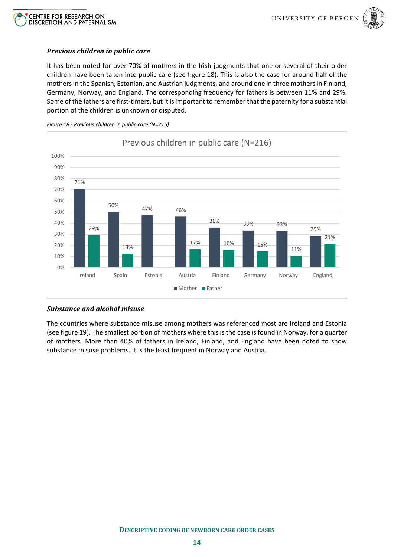



#### <span id="page-18-0"></span>*Previous children in public care*

It has been noted for over 70% of mothers in the Irish judgments that one or several of their older children have been taken into public care (see [figure 18\)](#page-18-2). This is also the case for around half of the mothers in the Spanish, Estonian, and Austrian judgments, and around one in three mothers in Finland, Germany, Norway, and England. The corresponding frequency for fathers is between 11% and 29%. Some of the fathers are first-timers, but it is important to remember that the paternity for a substantial portion of the children is unknown or disputed.

<span id="page-18-2"></span>



#### <span id="page-18-1"></span>*Substance and alcohol misuse*

The countries where substance misuse among mothers was referenced most are Ireland and Estonia (se[e figure 19\)](#page-19-0). The smallest portion of mothers where this is the case is found in Norway, for a quarter of mothers. More than 40% of fathers in Ireland, Finland, and England have been noted to show substance misuse problems. It is the least frequent in Norway and Austria.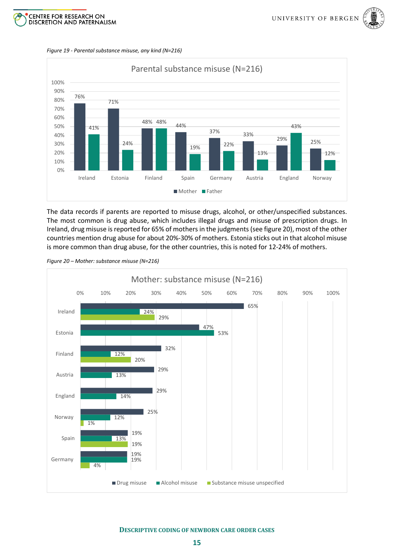

<span id="page-19-0"></span>*Figure 19 - Parental substance misuse, any kind (N=216)*



The data records if parents are reported to misuse drugs, alcohol, or other/unspecified substances. The most common is drug abuse, which includes illegal drugs and misuse of prescription drugs. In Ireland, drug misuse is reported for 65% of mothers in the judgments (se[e figure 20\)](#page-19-1), most of the other countries mention drug abuse for about 20%-30% of mothers. Estonia sticks out in that alcohol misuse is more common than drug abuse, for the other countries, this is noted for 12-24% of mothers.

<span id="page-19-1"></span>*Figure 20 – Mother: substance misuse (N=216)*

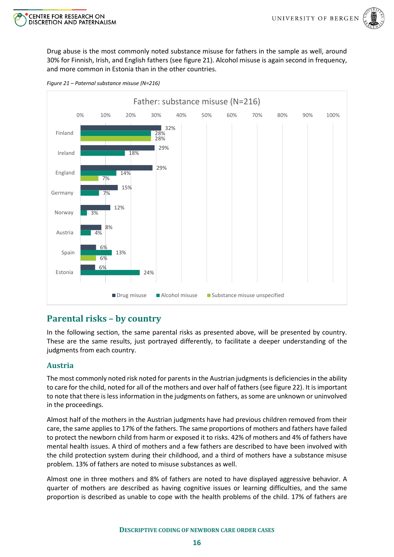



Drug abuse is the most commonly noted substance misuse for fathers in the sample as well, around 30% for Finnish, Irish, and English fathers (see [figure 21\)](#page-20-2). Alcohol misuse is again second in frequency, and more common in Estonia than in the other countries.



<span id="page-20-2"></span>*Figure 21 – Paternal substance misuse (N=216)*

# <span id="page-20-0"></span>**Parental risks – by country**

In the following section, the same parental risks as presented above, will be presented by country. These are the same results, just portrayed differently, to facilitate a deeper understanding of the judgments from each country.

#### <span id="page-20-1"></span>**Austria**

The most commonly noted risk noted for parents in the Austrian judgments is deficiencies in the ability to care for the child, noted for all of the mothers and over half of fathers (see [figure 22\)](#page-21-1). It is important to note that there is less information in the judgments on fathers, as some are unknown or uninvolved in the proceedings.

Almost half of the mothers in the Austrian judgments have had previous children removed from their care, the same applies to 17% of the fathers. The same proportions of mothers and fathers have failed to protect the newborn child from harm or exposed it to risks. 42% of mothers and 4% of fathers have mental health issues. A third of mothers and a few fathers are described to have been involved with the child protection system during their childhood, and a third of mothers have a substance misuse problem. 13% of fathers are noted to misuse substances as well.

Almost one in three mothers and 8% of fathers are noted to have displayed aggressive behavior. A quarter of mothers are described as having cognitive issues or learning difficulties, and the same proportion is described as unable to cope with the health problems of the child. 17% of fathers are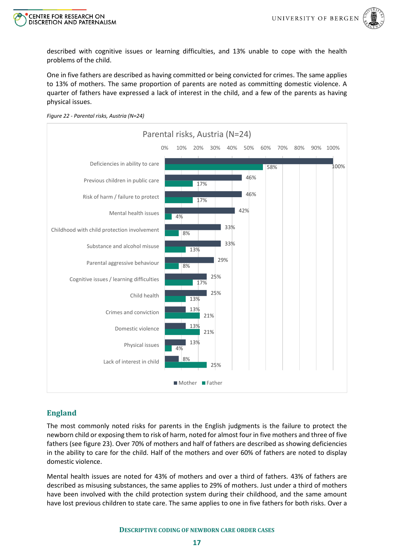



described with cognitive issues or learning difficulties, and 13% unable to cope with the health problems of the child.

One in five fathers are described as having committed or being convicted for crimes. The same applies to 13% of mothers. The same proportion of parents are noted as committing domestic violence. A quarter of fathers have expressed a lack of interest in the child, and a few of the parents as having physical issues.

<span id="page-21-1"></span>



#### <span id="page-21-0"></span>**England**

The most commonly noted risks for parents in the English judgments is the failure to protect the newborn child or exposing them to risk of harm, noted for almost four in five mothers and three of five fathers (see [figure 23\)](#page-22-1). Over 70% of mothers and half of fathers are described as showing deficiencies in the ability to care for the child. Half of the mothers and over 60% of fathers are noted to display domestic violence.

Mental health issues are noted for 43% of mothers and over a third of fathers. 43% of fathers are described as misusing substances, the same applies to 29% of mothers. Just under a third of mothers have been involved with the child protection system during their childhood, and the same amount have lost previous children to state care. The same applies to one in five fathers for both risks. Over a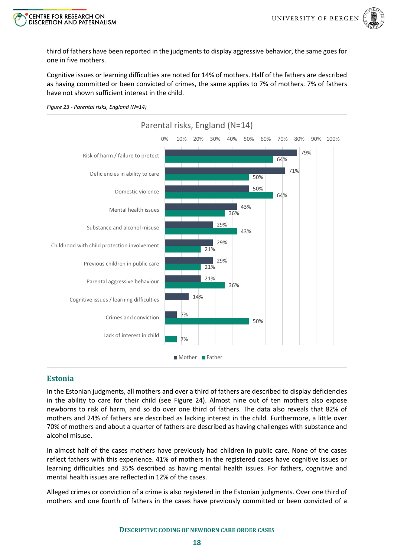



third of fathers have been reported in the judgments to display aggressive behavior, the same goes for one in five mothers.

Cognitive issues or learning difficulties are noted for 14% of mothers. Half of the fathers are described as having committed or been convicted of crimes, the same applies to 7% of mothers. 7% of fathers have not shown sufficient interest in the child.



#### <span id="page-22-1"></span>*Figure 23 - Parental risks, England (N=14)*

#### <span id="page-22-0"></span>**Estonia**

In the Estonian judgments, all mothers and over a third of fathers are described to display deficiencies in the ability to care for their child (see [Figure 24\)](#page-23-1). Almost nine out of ten mothers also expose newborns to risk of harm, and so do over one third of fathers. The data also reveals that 82% of mothers and 24% of fathers are described as lacking interest in the child. Furthermore, a little over 70% of mothers and about a quarter of fathers are described as having challenges with substance and alcohol misuse.

In almost half of the cases mothers have previously had children in public care. None of the cases reflect fathers with this experience. 41% of mothers in the registered cases have cognitive issues or learning difficulties and 35% described as having mental health issues. For fathers, cognitive and mental health issues are reflected in 12% of the cases.

Alleged crimes or conviction of a crime is also registered in the Estonian judgments. Over one third of mothers and one fourth of fathers in the cases have previously committed or been convicted of a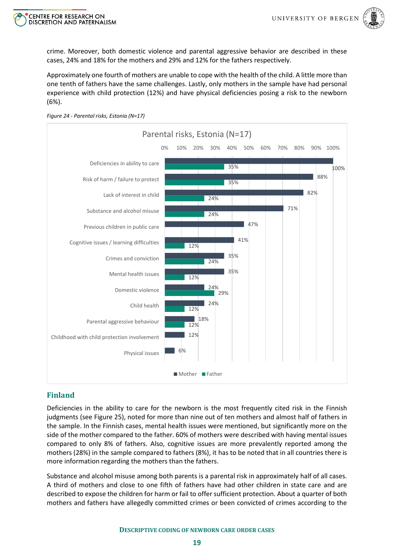



crime. Moreover, both domestic violence and parental aggressive behavior are described in these cases, 24% and 18% for the mothers and 29% and 12% for the fathers respectively.

Approximately one fourth of mothers are unable to cope with the health of the child. A little more than one tenth of fathers have the same challenges. Lastly, only mothers in the sample have had personal experience with child protection (12%) and have physical deficiencies posing a risk to the newborn (6%).



<span id="page-23-1"></span>*Figure 24 - Parental risks, Estonia (N=17)*

#### <span id="page-23-0"></span>**Finland**

Deficiencies in the ability to care for the newborn is the most frequently cited risk in the Finnish judgments (see [Figure 25\)](#page-24-1), noted for more than nine out of ten mothers and almost half of fathers in the sample. In the Finnish cases, mental health issues were mentioned, but significantly more on the side of the mother compared to the father. 60% of mothers were described with having mental issues compared to only 8% of fathers. Also, cognitive issues are more prevalently reported among the mothers (28%) in the sample compared to fathers (8%), it has to be noted that in all countries there is more information regarding the mothers than the fathers.

Substance and alcohol misuse among both parents is a parental risk in approximately half of all cases. A third of mothers and close to one fifth of fathers have had other children in state care and are described to expose the children for harm or fail to offer sufficient protection. About a quarter of both mothers and fathers have allegedly committed crimes or been convicted of crimes according to the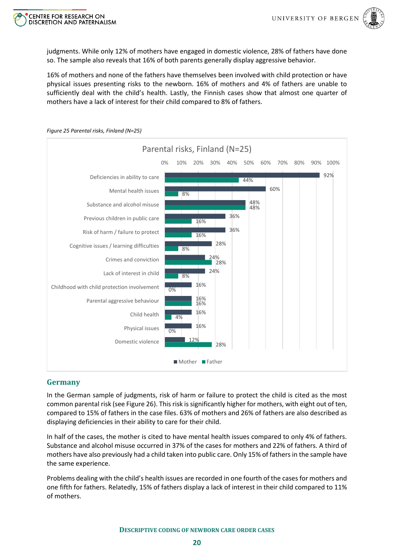

judgments. While only 12% of mothers have engaged in domestic violence, 28% of fathers have done so. The sample also reveals that 16% of both parents generally display aggressive behavior.

16% of mothers and none of the fathers have themselves been involved with child protection or have physical issues presenting risks to the newborn. 16% of mothers and 4% of fathers are unable to sufficiently deal with the child's health. Lastly, the Finnish cases show that almost one quarter of mothers have a lack of interest for their child compared to 8% of fathers.



<span id="page-24-1"></span>*Figure 25 Parental risks, Finland (N=25)*

#### <span id="page-24-0"></span>**Germany**

In the German sample of judgments, risk of harm or failure to protect the child is cited as the most common parental risk (see [Figure 26\)](#page-25-1). This risk is significantly higher for mothers, with eight out of ten, compared to 15% of fathers in the case files. 63% of mothers and 26% of fathers are also described as displaying deficiencies in their ability to care for their child.

In half of the cases, the mother is cited to have mental health issues compared to only 4% of fathers. Substance and alcohol misuse occurred in 37% of the cases for mothers and 22% of fathers. A third of mothers have also previously had a child taken into public care. Only 15% of fathers in the sample have the same experience.

Problems dealing with the child's health issues are recorded in one fourth of the cases for mothers and one fifth for fathers. Relatedly, 15% of fathers display a lack of interest in their child compared to 11% of mothers.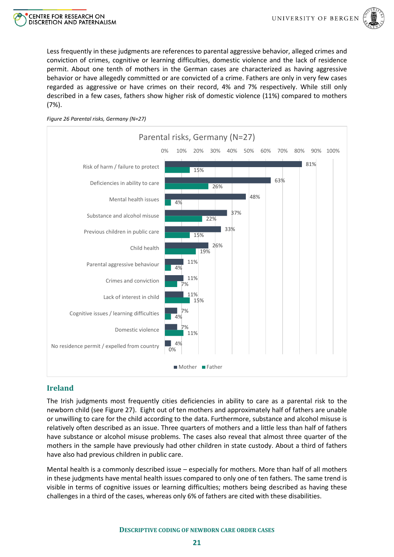

Less frequently in these judgments are references to parental aggressive behavior, alleged crimes and conviction of crimes, cognitive or learning difficulties, domestic violence and the lack of residence permit. About one tenth of mothers in the German cases are characterized as having aggressive behavior or have allegedly committed or are convicted of a crime. Fathers are only in very few cases regarded as aggressive or have crimes on their record, 4% and 7% respectively. While still only described in a few cases, fathers show higher risk of domestic violence (11%) compared to mothers (7%).

<span id="page-25-1"></span>



#### <span id="page-25-0"></span>**Ireland**

The Irish judgments most frequently cities deficiencies in ability to care as a parental risk to the newborn child (see [Figure 27\)](#page-26-1). Eight out of ten mothers and approximately half of fathers are unable or unwilling to care for the child according to the data. Furthermore, substance and alcohol misuse is relatively often described as an issue. Three quarters of mothers and a little less than half of fathers have substance or alcohol misuse problems. The cases also reveal that almost three quarter of the mothers in the sample have previously had other children in state custody. About a third of fathers have also had previous children in public care.

Mental health is a commonly described issue – especially for mothers. More than half of all mothers in these judgments have mental health issues compared to only one of ten fathers. The same trend is visible in terms of cognitive issues or learning difficulties; mothers being described as having these challenges in a third of the cases, whereas only 6% of fathers are cited with these disabilities.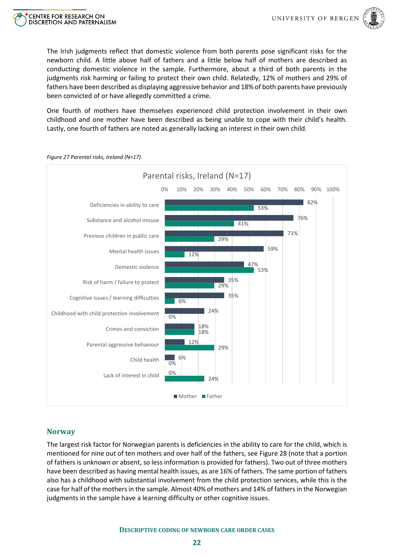

The Irish judgments reflect that domestic violence from both parents pose significant risks for the newborn child. A little above half of fathers and a little below half of mothers are described as conducting domestic violence in the sample. Furthermore, about a third of both parents in the judgments risk harming or failing to protect their own child. Relatedly, 12% of mothers and 29% of fathers have been described as displaying aggressive behavior and 18% of both parents have previously been convicted of or have allegedly committed a crime.

One fourth of mothers have themselves experienced child protection involvement in their own childhood and one mother have been described as being unable to cope with their child's health. Lastly, one fourth of fathers are noted as generally lacking an interest in their own child.



<span id="page-26-1"></span>*Figure 27 Parental risks, Ireland (N=17)*

CENTRE FOR RESEARCH ON

**DISCRETION AND PATERNALISM** 

## <span id="page-26-0"></span>**Norway**

The largest risk factor for Norwegian parents is deficiencies in the ability to care for the child, which is mentioned for nine out of ten mothers and over half of the fathers, see [Figure 28](#page-27-1) (note that a portion of fathers is unknown or absent, so less information is provided for fathers). Two out of three mothers have been described as having mental health issues, as are 16% of fathers. The same portion of fathers also has a childhood with substantial involvement from the child protection services, while this is the case for half of the mothers in the sample. Almost 40% of mothers and 14% of fathers in the Norwegian judgments in the sample have a learning difficulty or other cognitive issues.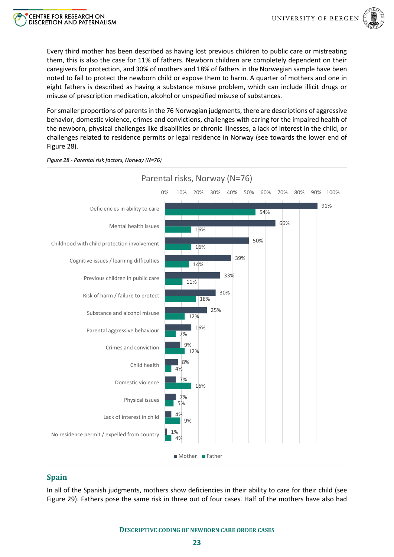

Every third mother has been described as having lost previous children to public care or mistreating them, this is also the case for 11% of fathers. Newborn children are completely dependent on their caregivers for protection, and 30% of mothers and 18% of fathers in the Norwegian sample have been noted to fail to protect the newborn child or expose them to harm. A quarter of mothers and one in eight fathers is described as having a substance misuse problem, which can include illicit drugs or misuse of prescription medication, alcohol or unspecified misuse of substances.

For smaller proportions of parents in the 76 Norwegian judgments, there are descriptions of aggressive behavior, domestic violence, crimes and convictions, challenges with caring for the impaired health of the newborn, physical challenges like disabilities or chronic illnesses, a lack of interest in the child, or challenges related to residence permits or legal residence in Norway (see towards the lower end of [Figure 28\)](#page-27-1).



<span id="page-27-1"></span>*Figure 28 - Parental risk factors, Norway (N=76)*

CENTRE FOR RESEARCH ON

**DISCRETION AND PATERNALISM** 

#### <span id="page-27-0"></span>**Spain**

In all of the Spanish judgments, mothers show deficiencies in their ability to care for their child (see [Figure 29\)](#page-28-0). Fathers pose the same risk in three out of four cases. Half of the mothers have also had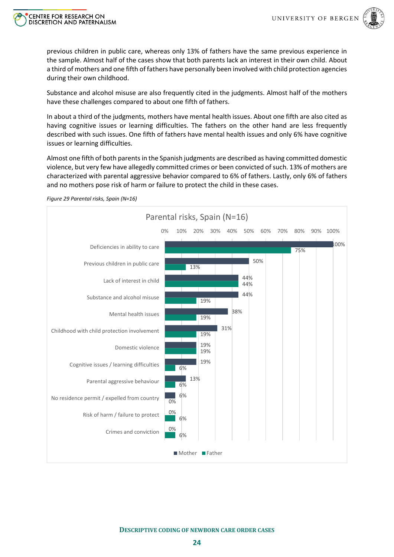

previous children in public care, whereas only 13% of fathers have the same previous experience in the sample. Almost half of the cases show that both parents lack an interest in their own child. About a third of mothers and one fifth of fathers have personally been involved with child protection agencies during their own childhood.

Substance and alcohol misuse are also frequently cited in the judgments. Almost half of the mothers have these challenges compared to about one fifth of fathers.

In about a third of the judgments, mothers have mental health issues. About one fifth are also cited as having cognitive issues or learning difficulties. The fathers on the other hand are less frequently described with such issues. One fifth of fathers have mental health issues and only 6% have cognitive issues or learning difficulties.

Almost one fifth of both parents in the Spanish judgments are described as having committed domestic violence, but very few have allegedly committed crimes or been convicted of such. 13% of mothers are characterized with parental aggressive behavior compared to 6% of fathers. Lastly, only 6% of fathers and no mothers pose risk of harm or failure to protect the child in these cases.



<span id="page-28-0"></span>*Figure 29 Parental risks, Spain (N=16)*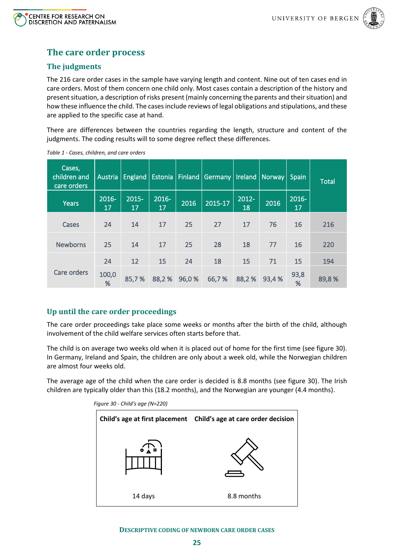



# <span id="page-29-0"></span>**The care order process**

# <span id="page-29-1"></span>**The judgments**

The 216 care order cases in the sample have varying length and content. Nine out of ten cases end in care orders. Most of them concern one child only. Most cases contain a description of the history and present situation, a description of risks present (mainly concerning the parents and their situation) and how these influence the child. The cases include reviews of legal obligations and stipulations, and these are applied to the specific case at hand.

There are differences between the countries regarding the length, structure and content of the judgments. The coding results will to some degree reflect these differences.

| Cases,<br>children and<br>care orders | <b>Austria</b> | <b>England</b> |                | Estonia Finland | Germany |                | Ireland   Norway | <b>Spain</b>   | <b>Total</b> |
|---------------------------------------|----------------|----------------|----------------|-----------------|---------|----------------|------------------|----------------|--------------|
| <b>Years</b>                          | 2016-<br>17    | $2015 -$<br>17 | $2016 -$<br>17 | 2016            | 2015-17 | $2012 -$<br>18 | 2016             | $2016 -$<br>17 |              |
| Cases                                 | 24             | 14             | 17             | 25              | 27      | 17             | 76               | 16             | 216          |
| <b>Newborns</b>                       | 25             | 14             | 17             | 25              | 28      | 18             | 77               | 16             | 220          |
| Care orders                           | 24             | 12             | 15             | 24              | 18      | 15             | 71               | 15             | 194          |
|                                       | 100,0<br>%     | 85,7%          | 88,2%          | 96,0%           | 66,7%   | 88,2%          | 93,4%            | 93,8<br>%      | 89,8%        |

*Table 1 - Cases, children, and care orders*

# <span id="page-29-2"></span>**Up until the care order proceedings**

The care order proceedings take place some weeks or months after the birth of the child, although involvement of the child welfare services often starts before that.

The child is on average two weeks old when it is placed out of home for the first time (see [figure 30\)](#page-29-3). In Germany, Ireland and Spain, the children are only about a week old, while the Norwegian children are almost four weeks old.

<span id="page-29-3"></span>The average age of the child when the care order is decided is 8.8 months (see [figure 30\)](#page-29-3). The Irish children are typically older than this (18.2 months), and the Norwegian are younger (4.4 months).



*Figure 30 - Child's age (N=220)*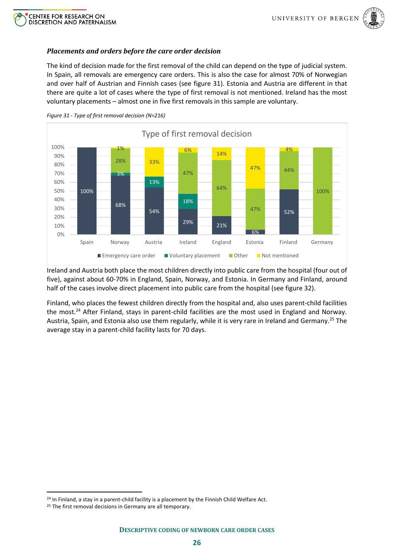



#### <span id="page-30-0"></span>*Placements and orders before the care order decision*

The kind of decision made for the first removal of the child can depend on the type of judicial system. In Spain, all removals are emergency care orders. This is also the case for almost 70% of Norwegian and over half of Austrian and Finnish cases (see [figure 31\)](#page-30-1). Estonia and Austria are different in that there are quite a lot of cases where the type of first removal is not mentioned. Ireland has the most voluntary placements – almost one in five first removals in this sample are voluntary.



<span id="page-30-1"></span>*Figure 31 - Type of first removal decision (N=216)*

Ireland and Austria both place the most children directly into public care from the hospital (four out of five), against about 60-70% in England, Spain, Norway, and Estonia. In Germany and Finland, around half of the cases involve direct placement into public care from the hospital (see [figure 32\)](#page-31-1).

Finland, who places the fewest children directly from the hospital and, also uses parent-child facilities the most. <sup>24</sup> After Finland, stays in parent-child facilities are the most used in England and Norway. Austria, Spain, and Estonia also use them regularly, while it is very rare in Ireland and Germany.<sup>25</sup> The average stay in a parent-child facility lasts for 70 days.

<sup>&</sup>lt;sup>24</sup> In Finland, a stay in a parent-child facility is a placement by the Finnish Child Welfare Act.

<sup>&</sup>lt;sup>25</sup> The first removal decisions in Germany are all temporary.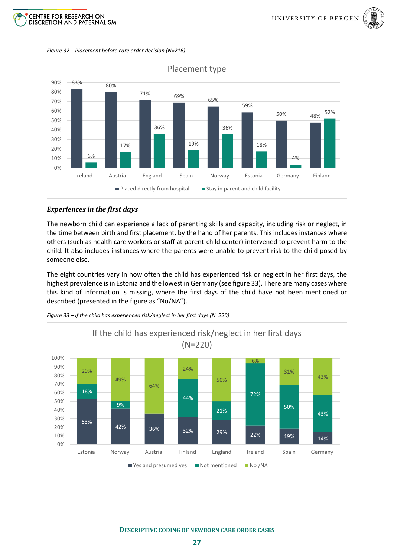



<span id="page-31-1"></span>*Figure 32 – Placement before care order decision (N=216)*



#### <span id="page-31-0"></span>*Experiences in the first days*

The newborn child can experience a lack of parenting skills and capacity, including risk or neglect, in the time between birth and first placement, by the hand of her parents. This includes instances where others (such as health care workers or staff at parent-child center) intervened to prevent harm to the child. It also includes instances where the parents were unable to prevent risk to the child posed by someone else.

The eight countries vary in how often the child has experienced risk or neglect in her first days, the highest prevalence is in Estonia and the lowest in Germany (se[e figure 33\)](#page-31-2). There are many cases where this kind of information is missing, where the first days of the child have not been mentioned or described (presented in the figure as "No/NA").



<span id="page-31-2"></span>*Figure 33 – If the child has experienced risk/neglect in her first days (N=220)*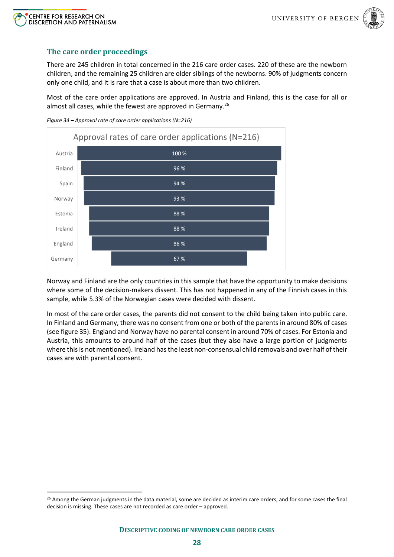



### <span id="page-32-0"></span>**The care order proceedings**

There are 245 children in total concerned in the 216 care order cases. 220 of these are the newborn children, and the remaining 25 children are older siblings of the newborns. 90% of judgments concern only one child, and it is rare that a case is about more than two children.

Most of the care order applications are approved. In Austria and Finland, this is the case for all or almost all cases, while the fewest are approved in Germany.<sup>26</sup>



*Figure 34 – Approval rate of care order applications (N=216)*

Norway and Finland are the only countries in this sample that have the opportunity to make decisions where some of the decision-makers dissent. This has not happened in any of the Finnish cases in this sample, while 5.3% of the Norwegian cases were decided with dissent.

In most of the care order cases, the parents did not consent to the child being taken into public care. In Finland and Germany, there was no consent from one or both of the parents in around 80% of cases (se[e figure 35\)](#page-33-1). England and Norway have no parental consent in around 70% of cases. For Estonia and Austria, this amounts to around half of the cases (but they also have a large portion of judgments where this is not mentioned). Ireland has the least non-consensual child removals and over half of their cases are with parental consent.

<sup>&</sup>lt;sup>26</sup> Among the German judgments in the data material, some are decided as interim care orders, and for some cases the final decision is missing. These cases are not recorded as care order – approved.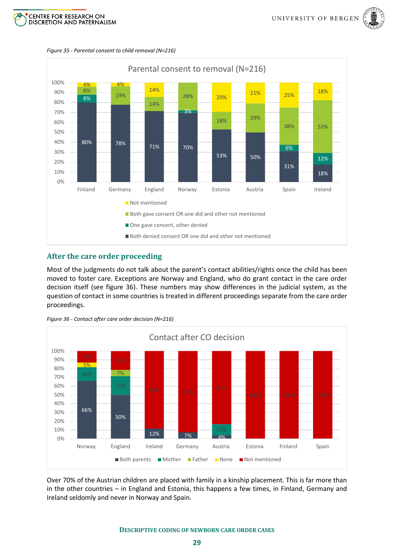





<span id="page-33-1"></span>*Figure 35 - Parental consent to child removal (N=216)*

#### <span id="page-33-0"></span>**After the care order proceeding**

Most of the judgments do not talk about the parent's contact abilities/rights once the child has been moved to foster care. Exceptions are Norway and England, who do grant contact in the care order decision itself (see [figure 36\)](#page-33-2). These numbers may show differences in the judicial system, as the question of contact in some countries is treated in different proceedings separate from the care order proceedings.

<span id="page-33-2"></span>



Over 70% of the Austrian children are placed with family in a kinship placement. This is far more than in the other countries – in England and Estonia, this happens a few times, in Finland, Germany and Ireland seldomly and never in Norway and Spain.